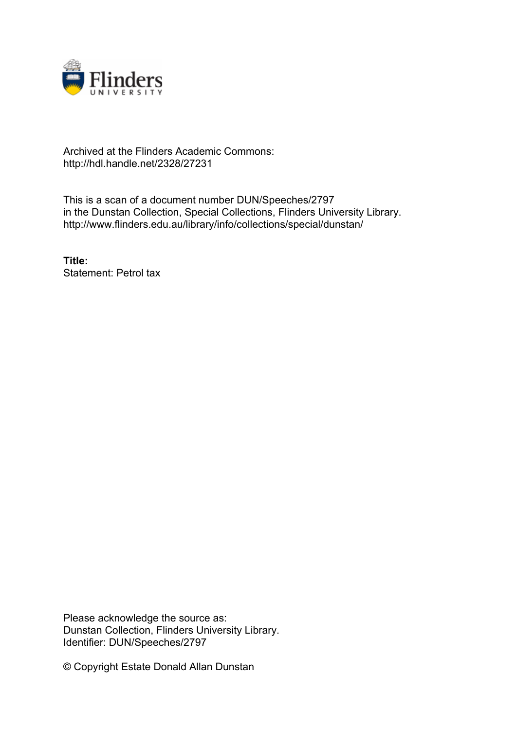

## Archived at the Flinders Academic Commons: http://hdl.handle.net/2328/27231

This is a scan of a document number DUN/Speeches/2797 in the Dunstan Collection, Special Collections, Flinders University Library. http://www.flinders.edu.au/library/info/collections/special/dunstan/

**Title:** Statement: Petrol tax

Please acknowledge the source as: Dunstan Collection, Flinders University Library. Identifier: DUN/Speeches/2797

© Copyright Estate Donald Allan Dunstan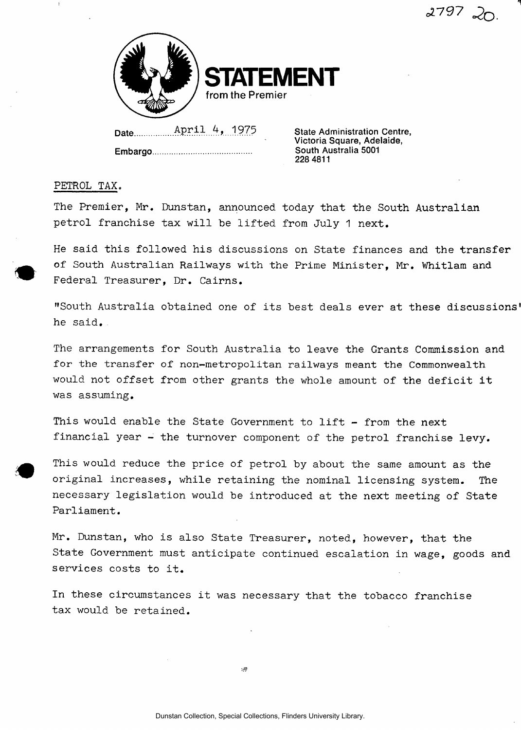

Date **April 4, 1975** State Administration Centre,

**Embargo** 

**Victoria Square, Adelaide, South Australia 5001 228 4811** 

 $2797$   $20$ 

1

## PETROL TAX.

The Premier, Mr. Dunstan, announced today that the South Australian petrol franchise tax will be lifted from July 1 next.

He said this followed his discussions on State finances and the transfer of South Australian Railways with the Prime Minister, Mr. Whitlam and Federal Treasurer, Dr. Cairns.

"South Australia obtained one of its best deals ever at these discussions' he said.

The arrangements for South Australia to leave the Grants Commission and for the transfer of non-metropolitan railways meant the Commonwealth would not offset from other grants the whole amount of the deficit it was assuming.

This would enable the State Government to lift - from the next financial year - the turnover component of the petrol franchise levy.

This would reduce the price of petrol by about the same amount as the original increases, while retaining the nominal licensing system. The necessary legislation would be introduced at the next meeting of State Parliament.

Mr. Dunstan, who is also State Treasurer, noted, however, that the State Government must anticipate continued escalation in wage, goods and services costs to it.

In these circumstances it was necessary that the tobacco franchise tax would be retained.